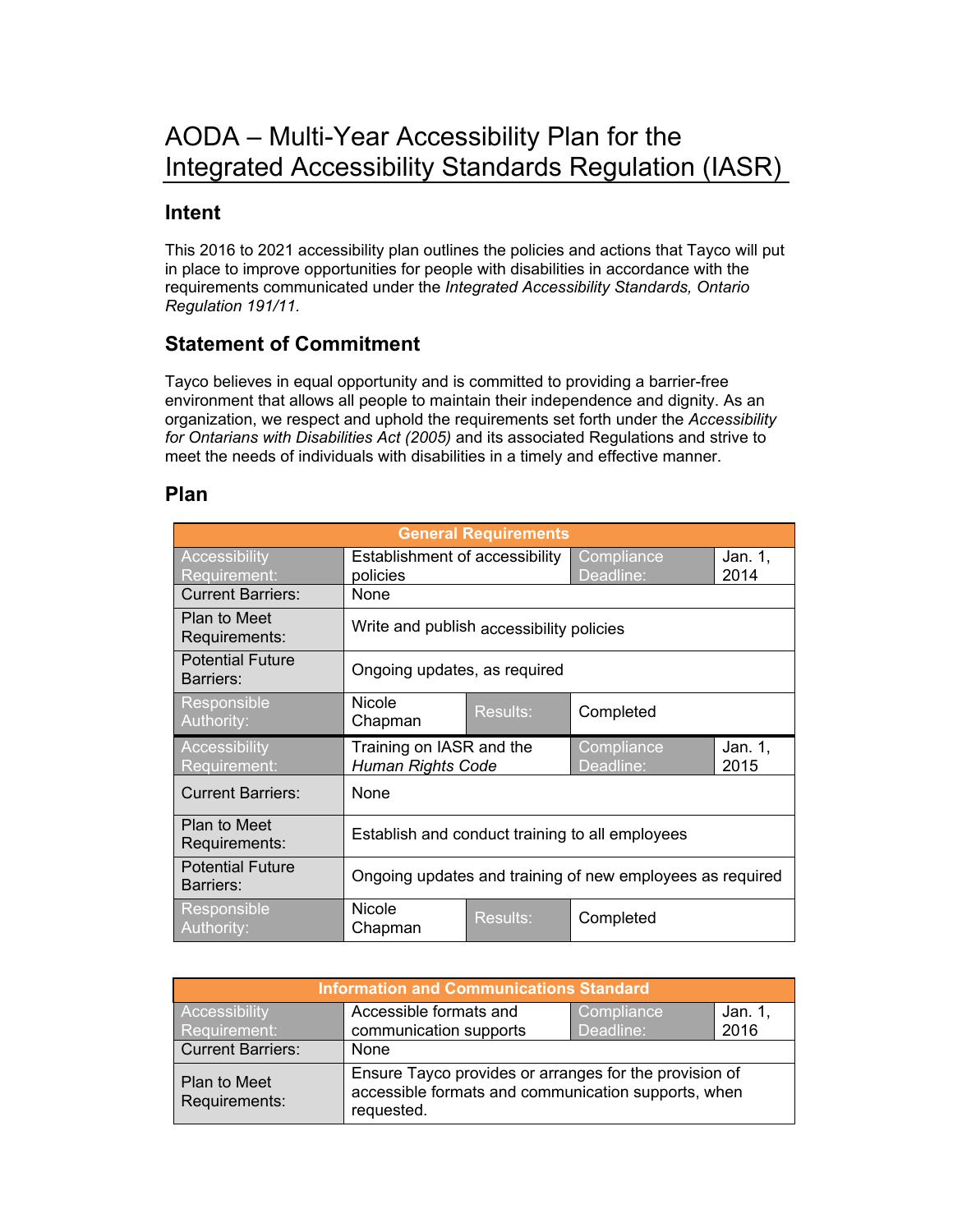## AODA – Multi-Year Accessibility Plan for the Integrated Accessibility Standards Regulation (IASR)

## **Intent**

This 2016 to 2021 accessibility plan outlines the policies and actions that Tayco will put in place to improve opportunities for people with disabilities in accordance with the requirements communicated under the *Integrated Accessibility Standards, Ontario Regulation 191/11.*

## **Statement of Commitment**

Tayco believes in equal opportunity and is committed to providing a barrier-free environment that allows all people to maintain their independence and dignity. As an organization, we respect and uphold the requirements set forth under the *Accessibility for Ontarians with Disabilities Act (2005)* and its associated Regulations and strive to meet the needs of individuals with disabilities in a timely and effective manner.

## **Plan**

| <b>General Requirements</b>          |                                                           |                 |                         |                 |
|--------------------------------------|-----------------------------------------------------------|-----------------|-------------------------|-----------------|
| <b>Accessibility</b><br>Requirement: | Establishment of accessibility<br>policies                |                 | Compliance<br>Deadline: | Jan. 1,<br>2014 |
| <b>Current Barriers:</b>             | None                                                      |                 |                         |                 |
| <b>Plan to Meet</b><br>Requirements: | Write and publish accessibility policies                  |                 |                         |                 |
| <b>Potential Future</b><br>Barriers: | Ongoing updates, as required                              |                 |                         |                 |
| Responsible<br>Authority:            | <b>Nicole</b><br>Chapman                                  | Results:        | Completed               |                 |
| <b>Accessibility</b><br>Requirement: | Training on IASR and the<br><b>Human Rights Code</b>      |                 | Compliance<br>Deadline: | Jan. 1,<br>2015 |
| <b>Current Barriers:</b>             | None                                                      |                 |                         |                 |
| Plan to Meet<br>Requirements:        | Establish and conduct training to all employees           |                 |                         |                 |
| <b>Potential Future</b><br>Barriers: | Ongoing updates and training of new employees as required |                 |                         |                 |
| Responsible<br>Authority:            | <b>Nicole</b><br>Chapman                                  | <b>Results:</b> | Completed               |                 |

| <b>Information and Communications Standard</b> |                                                                                                                             |                         |                 |
|------------------------------------------------|-----------------------------------------------------------------------------------------------------------------------------|-------------------------|-----------------|
| Accessibility<br>Requirement:                  | Accessible formats and                                                                                                      | Compliance<br>Deadline: | Jan. 1,<br>2016 |
|                                                | communication supports                                                                                                      |                         |                 |
| <b>Current Barriers:</b>                       | None                                                                                                                        |                         |                 |
| <b>Plan to Meet</b><br>Requirements:           | Ensure Tayco provides or arranges for the provision of<br>accessible formats and communication supports, when<br>requested. |                         |                 |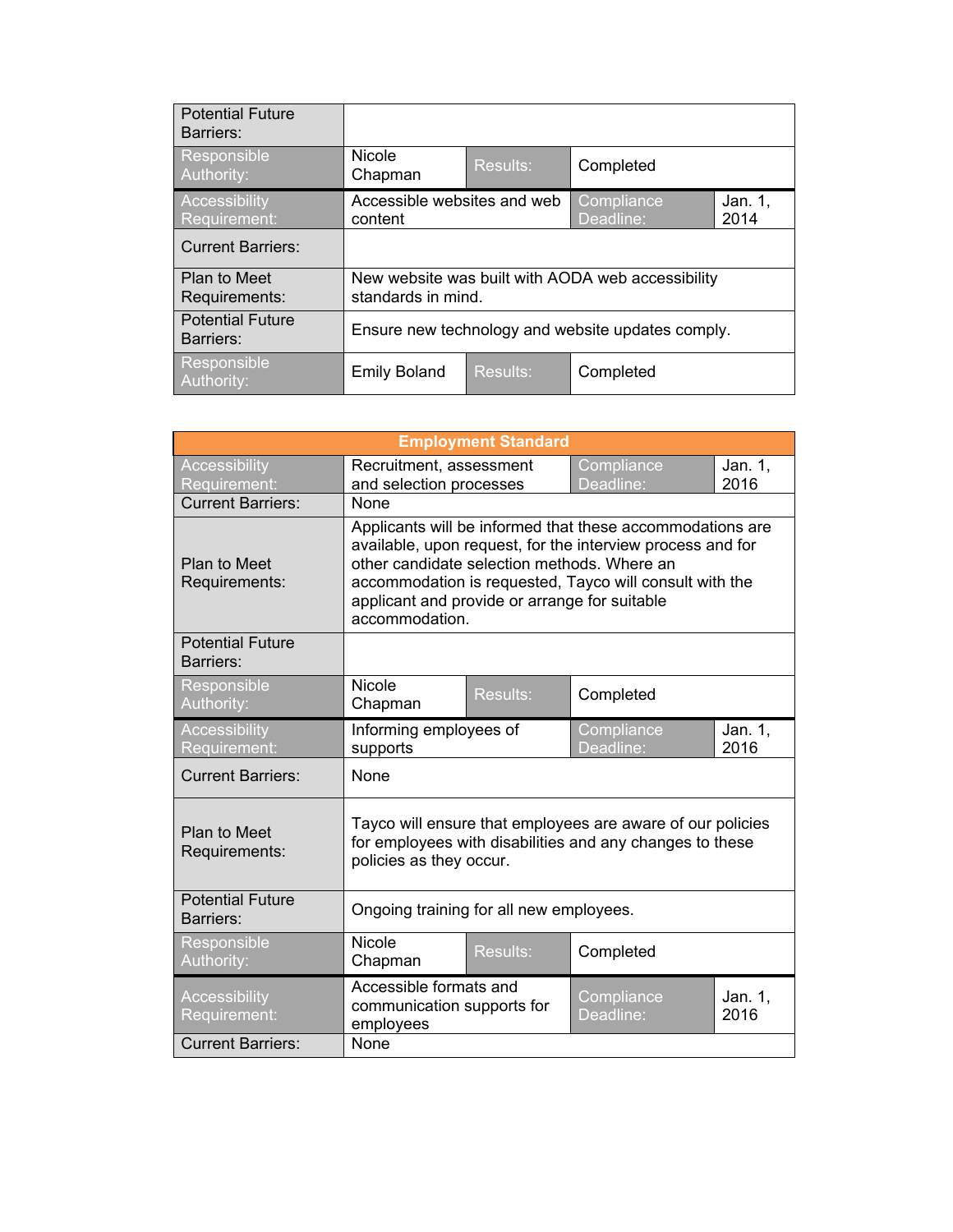| <b>Potential Future</b><br>Barriers: |                                                                         |          |                         |                 |
|--------------------------------------|-------------------------------------------------------------------------|----------|-------------------------|-----------------|
| Responsible<br>Authority:            | <b>Nicole</b><br>Chapman                                                | Results: | Completed               |                 |
| Accessibility<br>Requirement:        | Accessible websites and web<br>content                                  |          | Compliance<br>Deadline: | Jan. 1,<br>2014 |
| <b>Current Barriers:</b>             |                                                                         |          |                         |                 |
| Plan to Meet<br>Requirements:        | New website was built with AODA web accessibility<br>standards in mind. |          |                         |                 |
| <b>Potential Future</b><br>Barriers: | Ensure new technology and website updates comply.                       |          |                         |                 |
| Responsible<br>Authority:            | <b>Emily Boland</b>                                                     | Results: | Completed               |                 |

| <b>Employment Standard</b>           |                                                                                                                                                                                                                                                                                                      |          |                         |                 |  |
|--------------------------------------|------------------------------------------------------------------------------------------------------------------------------------------------------------------------------------------------------------------------------------------------------------------------------------------------------|----------|-------------------------|-----------------|--|
| <b>Accessibility</b><br>Requirement: | Recruitment, assessment<br>and selection processes                                                                                                                                                                                                                                                   |          | Compliance<br>Deadline: | Jan. 1,<br>2016 |  |
| <b>Current Barriers:</b>             | None                                                                                                                                                                                                                                                                                                 |          |                         |                 |  |
| Plan to Meet<br>Requirements:        | Applicants will be informed that these accommodations are<br>available, upon request, for the interview process and for<br>other candidate selection methods. Where an<br>accommodation is requested, Tayco will consult with the<br>applicant and provide or arrange for suitable<br>accommodation. |          |                         |                 |  |
| <b>Potential Future</b><br>Barriers: |                                                                                                                                                                                                                                                                                                      |          |                         |                 |  |
| Responsible<br>Authority:            | Nicole<br>Chapman                                                                                                                                                                                                                                                                                    | Results: | Completed               |                 |  |
| Accessibility<br>Requirement:        | Informing employees of<br>supports                                                                                                                                                                                                                                                                   |          | Compliance<br>Deadline: | Jan. 1,<br>2016 |  |
| <b>Current Barriers:</b>             | None                                                                                                                                                                                                                                                                                                 |          |                         |                 |  |
| Plan to Meet<br>Requirements:        | Tayco will ensure that employees are aware of our policies<br>for employees with disabilities and any changes to these<br>policies as they occur.                                                                                                                                                    |          |                         |                 |  |
| <b>Potential Future</b><br>Barriers: | Ongoing training for all new employees.                                                                                                                                                                                                                                                              |          |                         |                 |  |
| Responsible<br>Authority:            | Nicole<br>Chapman                                                                                                                                                                                                                                                                                    | Results: | Completed               |                 |  |
| <b>Accessibility</b><br>Requirement: | Accessible formats and<br>communication supports for<br>employees                                                                                                                                                                                                                                    |          | Compliance<br>Deadline: | Jan. 1,<br>2016 |  |
| <b>Current Barriers:</b>             | None                                                                                                                                                                                                                                                                                                 |          |                         |                 |  |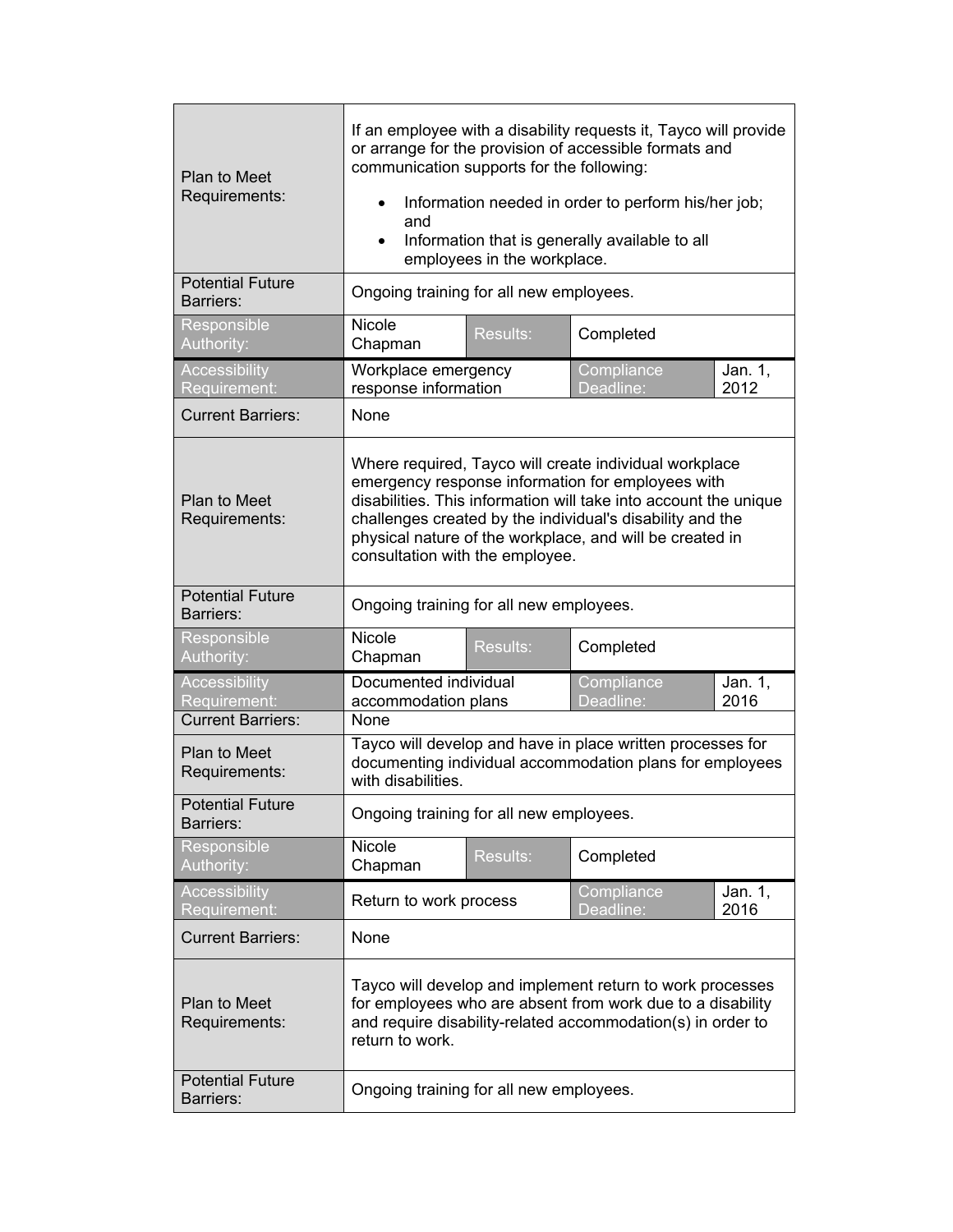| <b>Plan to Meet</b><br>Requirements:                      | If an employee with a disability requests it, Tayco will provide<br>or arrange for the provision of accessible formats and<br>communication supports for the following:<br>Information needed in order to perform his/her job;<br>and<br>Information that is generally available to all<br>$\bullet$<br>employees in the workplace.         |          |                         |                 |
|-----------------------------------------------------------|---------------------------------------------------------------------------------------------------------------------------------------------------------------------------------------------------------------------------------------------------------------------------------------------------------------------------------------------|----------|-------------------------|-----------------|
| <b>Potential Future</b><br>Barriers:                      | Ongoing training for all new employees.                                                                                                                                                                                                                                                                                                     |          |                         |                 |
| Responsible<br>Authority:                                 | Nicole<br>Results:<br>Completed<br>Chapman                                                                                                                                                                                                                                                                                                  |          |                         |                 |
| Accessibility<br>Requirement:                             | Workplace emergency<br>response information                                                                                                                                                                                                                                                                                                 |          | Compliance<br>Deadline: | Jan. 1,<br>2012 |
| <b>Current Barriers:</b>                                  | None                                                                                                                                                                                                                                                                                                                                        |          |                         |                 |
| <b>Plan to Meet</b><br>Requirements:                      | Where required, Tayco will create individual workplace<br>emergency response information for employees with<br>disabilities. This information will take into account the unique<br>challenges created by the individual's disability and the<br>physical nature of the workplace, and will be created in<br>consultation with the employee. |          |                         |                 |
| <b>Potential Future</b><br>Barriers:                      | Ongoing training for all new employees.                                                                                                                                                                                                                                                                                                     |          |                         |                 |
| Responsible<br>Authority:                                 | Nicole<br>Chapman                                                                                                                                                                                                                                                                                                                           | Results: | Completed               |                 |
| Accessibility<br>Requirement:<br><b>Current Barriers:</b> | Documented individual<br>Compliance<br>Jan. 1,<br>Deadline:<br>2016<br>accommodation plans<br>None                                                                                                                                                                                                                                          |          |                         |                 |
| <b>Plan to Meet</b><br>Requirements:                      | Tayco will develop and have in place written processes for<br>documenting individual accommodation plans for employees<br>with disabilities.                                                                                                                                                                                                |          |                         |                 |
| <b>Potential Future</b><br>Barriers:                      | Ongoing training for all new employees.                                                                                                                                                                                                                                                                                                     |          |                         |                 |
| Responsible<br>Authority:                                 | Nicole<br>Chapman                                                                                                                                                                                                                                                                                                                           | Results: | Completed               |                 |
| <b>Accessibility</b><br>Requirement:                      | Return to work process                                                                                                                                                                                                                                                                                                                      |          | Compliance<br>Deadline: | Jan. 1,<br>2016 |
| <b>Current Barriers:</b>                                  | None                                                                                                                                                                                                                                                                                                                                        |          |                         |                 |
| Plan to Meet<br>Requirements:                             | Tayco will develop and implement return to work processes<br>for employees who are absent from work due to a disability<br>and require disability-related accommodation(s) in order to<br>return to work.                                                                                                                                   |          |                         |                 |
| <b>Potential Future</b><br>Barriers:                      | Ongoing training for all new employees.                                                                                                                                                                                                                                                                                                     |          |                         |                 |